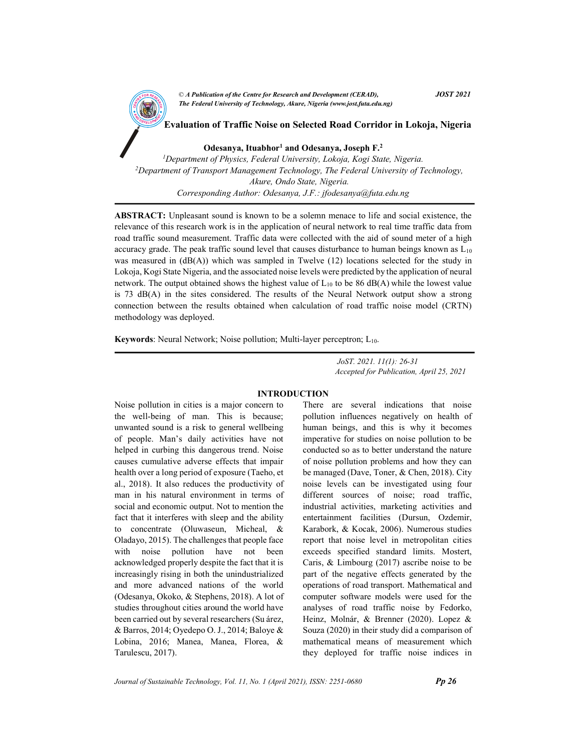CA Publication of the Centre for Kesearch and Development (CEKAD),<br>The Federal University of Technology, Akure, Nigeria (www.jost.futa.edu.ng) © A Publication of the Centre for Research and Development (CERAD),  $JOST 2021$ 

<sup>A</sup>N<sup>D</sup> <sup>D</sup>EVELOPM<sup>E</sup> <sup>N</sup><sup>T</sup> Evaluation of Traffic Noise on Selected Road Corridor in Lokoja, Nigeria

Odesanya, Ituabhor<sup>1</sup> and Odesanya, Joseph F.<sup>2</sup>

<sup>1</sup>Department of Physics, Federal University, Lokoja, Kogi State, Nigeria.  $2$ Department of Transport Management Technology, The Federal University of Technology, Akure, Ondo State, Nigeria. Corresponding Author: Odesanya, J.F.: jfodesanya@futa.edu.ng

ABSTRACT: Unpleasant sound is known to be a solemn menace to life and social existence, the relevance of this research work is in the application of neural network to real time traffic data from road traffic sound measurement. Traffic data were collected with the aid of sound meter of a high accuracy grade. The peak traffic sound level that causes disturbance to human beings known as  $L_{10}$ was measured in  $(dB(A))$  which was sampled in Twelve  $(12)$  locations selected for the study in Lokoja, Kogi State Nigeria, and the associated noise levels were predicted by the application of neural network. The output obtained shows the highest value of  $L_{10}$  to be 86 dB(A) while the lowest value is 73 dB(A) in the sites considered. The results of the Neural Network output show a strong connection between the results obtained when calculation of road traffic noise model (CRTN) methodology was deployed.

Keywords: Neural Network; Noise pollution; Multi-layer perceptron; L<sub>10</sub>.

 JoST. 2021. 11(1): 26-31 Accepted for Publication, April 25, 2021

### INTRODUCTION

Noise pollution in cities is a major concern to the well-being of man. This is because; unwanted sound is a risk to general wellbeing of people. Man's daily activities have not helped in curbing this dangerous trend. Noise causes cumulative adverse effects that impair health over a long period of exposure (Taeho, et al., 2018). It also reduces the productivity of man in his natural environment in terms of social and economic output. Not to mention the fact that it interferes with sleep and the ability to concentrate (Oluwaseun, Micheal, & Oladayo, 2015). The challenges that people face with noise pollution have not been acknowledged properly despite the fact that it is increasingly rising in both the unindustrialized and more advanced nations of the world (Odesanya, Okoko, & Stephens, 2018). A lot of studies throughout cities around the world have been carried out by several researchers (Su árez, & Barros, 2014; Oyedepo O. J., 2014; Baloye & Lobina, 2016; Manea, Manea, Florea, & Tarulescu, 2017).

There are several indications that noise pollution influences negatively on health of human beings, and this is why it becomes imperative for studies on noise pollution to be conducted so as to better understand the nature of noise pollution problems and how they can be managed (Dave, Toner, & Chen, 2018). City noise levels can be investigated using four different sources of noise; road traffic, industrial activities, marketing activities and entertainment facilities (Dursun, Ozdemir, Karabork, & Kocak, 2006). Numerous studies report that noise level in metropolitan cities exceeds specified standard limits. Mostert, Caris, & Limbourg (2017) ascribe noise to be part of the negative effects generated by the operations of road transport. Mathematical and computer software models were used for the analyses of road traffic noise by Fedorko, Heinz, Molnár, & Brenner (2020). Lopez & Souza (2020) in their study did a comparison of mathematical means of measurement which they deployed for traffic noise indices in

Journal of Sustainable Technology, Vol. 11, No. 1 (April 2021), ISSN:  $2251-0680$  Pp 26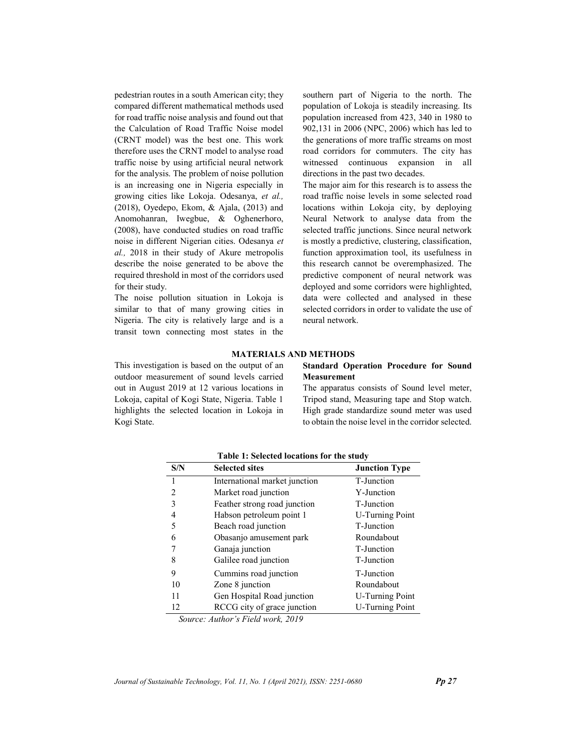pedestrian routes in a south American city; they compared different mathematical methods used for road traffic noise analysis and found out that the Calculation of Road Traffic Noise model (CRNT model) was the best one. This work therefore uses the CRNT model to analyse road traffic noise by using artificial neural network for the analysis. The problem of noise pollution is an increasing one in Nigeria especially in growing cities like Lokoja. Odesanya, et al., (2018), Oyedepo, Ekom, & Ajala, (2013) and Anomohanran, Iwegbue, & Oghenerhoro, (2008), have conducted studies on road traffic noise in different Nigerian cities. Odesanya et al., 2018 in their study of Akure metropolis describe the noise generated to be above the required threshold in most of the corridors used for their study.

The noise pollution situation in Lokoja is similar to that of many growing cities in Nigeria. The city is relatively large and is a transit town connecting most states in the southern part of Nigeria to the north. The population of Lokoja is steadily increasing. Its population increased from 423, 340 in 1980 to 902,131 in 2006 (NPC, 2006) which has led to the generations of more traffic streams on most road corridors for commuters. The city has witnessed continuous expansion in all directions in the past two decades.

The major aim for this research is to assess the road traffic noise levels in some selected road locations within Lokoja city, by deploying Neural Network to analyse data from the selected traffic junctions. Since neural network is mostly a predictive, clustering, classification, function approximation tool, its usefulness in this research cannot be overemphasized. The predictive component of neural network was deployed and some corridors were highlighted, data were collected and analysed in these selected corridors in order to validate the use of neural network.

#### MATERIALS AND METHODS

This investigation is based on the output of an outdoor measurement of sound levels carried out in August 2019 at 12 various locations in Lokoja, capital of Kogi State, Nigeria. Table 1 highlights the selected location in Lokoja in Kogi State.

## Standard Operation Procedure for Sound Measurement

The apparatus consists of Sound level meter, Tripod stand, Measuring tape and Stop watch. High grade standardize sound meter was used to obtain the noise level in the corridor selected.

| S/N | <b>Selected sites</b>         | <b>Junction Type</b>   |  |
|-----|-------------------------------|------------------------|--|
| 1   | International market junction | T-Junction             |  |
| 2   | Market road junction          | Y-Junction             |  |
| 3   | Feather strong road junction  | T-Junction             |  |
| 4   | Habson petroleum point 1      | <b>U-Turning Point</b> |  |
| 5   | Beach road junction           | T-Junction             |  |
| 6   | Obasanjo amusement park       | Roundabout             |  |
|     | Ganaja junction               | T-Junction             |  |
| 8   | Galilee road junction         | T-Junction             |  |
| 9   | Cummins road junction         | T-Junction             |  |
| 10  | Zone 8 junction               | Roundabout             |  |
| 11  | Gen Hospital Road junction    | <b>U-Turning Point</b> |  |
| 12  | RCCG city of grace junction   | <b>U-Turning Point</b> |  |

Table 1: Selected locations for the study

Source: Author's Field work, 2019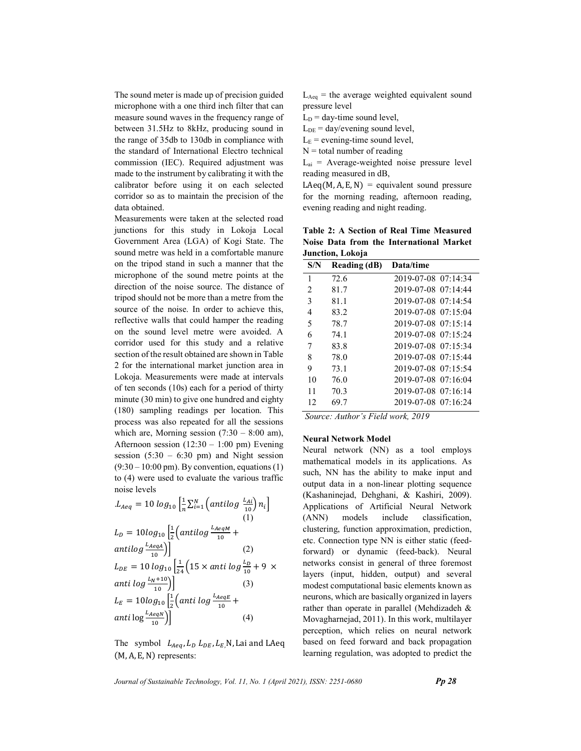The sound meter is made up of precision guided microphone with a one third inch filter that can measure sound waves in the frequency range of between 31.5Hz to 8kHz, producing sound in the range of 35db to 130db in compliance with the standard of International Electro technical commission (IEC). Required adjustment was made to the instrument by calibrating it with the calibrator before using it on each selected corridor so as to maintain the precision of the data obtained.

Measurements were taken at the selected road junctions for this study in Lokoja Local Government Area (LGA) of Kogi State. The sound metre was held in a comfortable manure on the tripod stand in such a manner that the microphone of the sound metre points at the direction of the noise source. The distance of tripod should not be more than a metre from the source of the noise. In order to achieve this, reflective walls that could hamper the reading on the sound level metre were avoided. A corridor used for this study and a relative section of the result obtained are shown in Table 2 for the international market junction area in Lokoja. Measurements were made at intervals of ten seconds (10s) each for a period of thirty minute (30 min) to give one hundred and eighty (180) sampling readings per location. This process was also repeated for all the sessions which are, Morning session  $(7:30 - 8:00)$  am), Afternoon session  $(12:30 - 1:00)$  pm) Evening session  $(5:30 - 6:30)$  pm) and Night session  $(9:30 - 10:00 \text{ pm})$ . By convention, equations (1) to (4) were used to evaluate the various traffic noise levels

$$
L_{Aeq} = 10 \log_{10} \left[ \frac{1}{n} \sum_{i=1}^{N} \left( antilog \frac{L_{Ai}}{10} \right) n_i \right]
$$
  
\n
$$
L_D = 10 \log_{10} \left[ \frac{1}{2} \left( antilog \frac{L_{AeqM}}{10} + \frac{antilog \frac{L_{AeqM}}{10}}{10} \right) \right]
$$
  
\n
$$
L_{DE} = 10 \log_{10} \left[ \frac{1}{24} \left( 15 \times anti \log \frac{L_D}{10} + 9 \times \frac{1}{24} \left( 15 \times anti \log \frac{L_D}{10} + 9 \times \frac{1}{24} \left( 15 \times \frac{1}{24} \right) \right) \right]
$$
  
\n
$$
L_E = 10 \log_{10} \left[ \frac{1}{2} \left( anti \log \frac{L_{AeqE}}{10} + \frac{1}{24} \right) \right]
$$
  
\n
$$
L_E = 10 \log_{10} \left[ \frac{1}{2} \left( anti \log \frac{L_{AeqE}}{10} + \frac{1}{24} \right) \right]
$$
  
\n(4)

The symbol  $L_{Aeq}$ ,  $L_D$ ,  $L_{DE}$ ,  $L_E$ <sub>,</sub>N, Lai and LAeq (M, A, E, N) represents:

 $L_{\text{Aeg}}$  = the average weighted equivalent sound pressure level

 $L_D$  = day-time sound level,

 $L<sub>DE</sub> = day/evening sound level,$ 

 $L<sub>E</sub>$  = evening-time sound level,

 $N =$  total number of reading

 $L_{ai}$  = Average-weighted noise pressure level reading measured in dB,

 $LAeg(M, A, E, N) =$  equivalent sound pressure for the morning reading, afternoon reading, evening reading and night reading.

Table 2: A Section of Real Time Measured Noise Data from the International Market Junction, Lokoja

| S/N           | Reading (dB) | Data/time           |
|---------------|--------------|---------------------|
| 1             | 72.6         | 2019-07-08 07:14:34 |
| $\mathcal{L}$ | 81.7         | 2019-07-08 07:14:44 |
| 3             | 81.1         | 2019-07-08 07:14:54 |
| 4             | 83.2         | 2019-07-08 07:15:04 |
| 5             | 78.7         | 2019-07-08 07:15:14 |
| 6             | 74.1         | 2019-07-08 07:15:24 |
| 7             | 83.8         | 2019-07-08 07:15:34 |
| 8             | 78.0         | 2019-07-08 07:15:44 |
| 9             | 73.1         | 2019-07-08 07:15:54 |
| 10            | 76.0         | 2019-07-08 07:16:04 |
| 11            | 70.3         | 2019-07-08 07:16:14 |
| 12            | 69.7         | 2019-07-08 07:16:24 |

Source: Author's Field work, 2019

#### Neural Network Model

Neural network (NN) as a tool employs mathematical models in its applications. As such, NN has the ability to make input and output data in a non-linear plotting sequence (Kashaninejad, Dehghani, & Kashiri, 2009). Applications of Artificial Neural Network (ANN) models include classification, clustering, function approximation, prediction, etc. Connection type NN is either static (feedforward) or dynamic (feed-back). Neural networks consist in general of three foremost layers (input, hidden, output) and several modest computational basic elements known as neurons, which are basically organized in layers rather than operate in parallel (Mehdizadeh & Movagharnejad, 2011). In this work, multilayer perception, which relies on neural network based on feed forward and back propagation learning regulation, was adopted to predict the

Journal of Sustainable Technology, Vol. 11, No. 1 (April 2021), ISSN:  $2251-0680$  Pp 28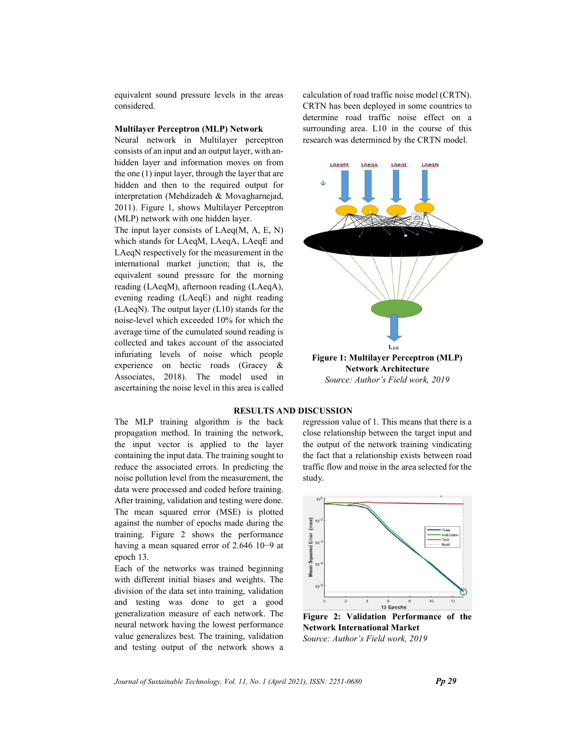equivalent sound pressure levels in the areas considered.

## Multilayer Perceptron (MLP) Network

Neural network in Multilayer perceptron consists of an input and an output layer, with anhidden layer and information moves on from the one (1) input layer, through the layer that are hidden and then to the required output for interpretation (Mehdizadeh & Movagharnejad, 2011). Figure 1, shows Multilayer Perceptron (MLP) network with one hidden layer.

The input layer consists of LAeq(M, A, E, N) which stands for LAeqM, LAeqA, LAeqE and LAeqN respectively for the measurement in the international market junction; that is, the equivalent sound pressure for the morning reading (LAeqM), afternoon reading (LAeqA), evening reading (LAeqE) and night reading (LAeqN). The output layer (L10) stands for the noise-level which exceeded 10% for which the average time of the cumulated sound reading is collected and takes account of the associated infuriating levels of noise which people experience on hectic roads (Gracey & Associates, 2018). The model used in ascertaining the noise level in this area is called calculation of road traffic noise model (CRTN). CRTN has been deployed in some countries to determine road traffic noise effect on a surrounding area. L10 in the course of this research was determined by the CRTN model.



Source: Author's Field work, 2019

#### RESULTS AND DISCUSSION

The MLP training algorithm is the back propagation method. In training the network, the input vector is applied to the layer containing the input data. The training sought to reduce the associated errors. In predicting the noise pollution level from the measurement, the data were processed and coded before training. After training, validation and testing were done. The mean squared error (MSE) is plotted against the number of epochs made during the training. Figure 2 shows the performance having a mean squared error of 2.646 10−9 at epoch 13.

Each of the networks was trained beginning with different initial biases and weights. The division of the data set into training, validation and testing was done to get a good generalization measure of each network. The neural network having the lowest performance value generalizes best. The training, validation and testing output of the network shows a regression value of 1. This means that there is a close relationship between the target input and the output of the network training vindicating the fact that a relationship exists between road traffic flow and noise in the area selected for the study.



Figure 2: Validation Performance of the Network International Market Source: Author's Field work, 2019

Journal of Sustainable Technology, Vol. 11, No. 1 (April 2021), ISSN:  $2251-0680$  Pp 29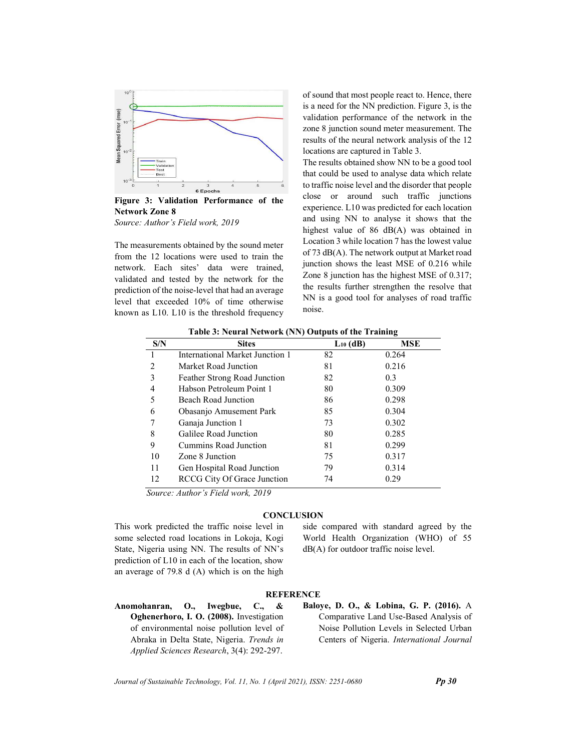

Figure 3: Validation Performance of the Network Zone 8

Source: Author's Field work, 2019

The measurements obtained by the sound meter from the 12 locations were used to train the network. Each sites' data were trained, validated and tested by the network for the prediction of the noise-level that had an average level that exceeded 10% of time otherwise known as L10. L10 is the threshold frequency

of sound that most people react to. Hence, there is a need for the NN prediction. Figure 3, is the validation performance of the network in the zone 8 junction sound meter measurement. The results of the neural network analysis of the 12 locations are captured in Table 3.

The results obtained show NN to be a good tool that could be used to analyse data which relate to traffic noise level and the disorder that people close or around such traffic junctions experience. L10 was predicted for each location and using NN to analyse it shows that the highest value of 86 dB(A) was obtained in Location 3 while location 7 has the lowest value of 73 dB(A). The network output at Market road junction shows the least MSE of 0.216 while Zone 8 junction has the highest MSE of 0.317; the results further strengthen the resolve that NN is a good tool for analyses of road traffic noise.

| $\ldots$      |                                    |               |       |  |  |
|---------------|------------------------------------|---------------|-------|--|--|
| S/N           | <b>Sites</b>                       | $L_{10}$ (dB) | MSE   |  |  |
|               | International Market Junction 1    | 82            | 0.264 |  |  |
| $\mathcal{L}$ | Market Road Junction               | 81            | 0.216 |  |  |
| 3             | Feather Strong Road Junction       | 82            | 0.3   |  |  |
| 4             | Habson Petroleum Point 1           | 80            | 0.309 |  |  |
| 5             | Beach Road Junction                | 86            | 0.298 |  |  |
| 6             | Obasanjo Amusement Park            | 85            | 0.304 |  |  |
|               | Ganaja Junction 1                  | 73            | 0.302 |  |  |
| 8             | Galilee Road Junction              | 80            | 0.285 |  |  |
| 9             | Cummins Road Junction              | 81            | 0.299 |  |  |
| 10            | Zone 8 Junction                    | 75            | 0.317 |  |  |
| 11            | Gen Hospital Road Junction         | 79            | 0.314 |  |  |
| 12            | <b>RCCG</b> City Of Grace Junction | 74            | 0.29  |  |  |
|               |                                    |               |       |  |  |

Table 3: Neural Network (NN) Outputs of the Training

Source: Author's Field work, 2019

## **CONCLUSION**

This work predicted the traffic noise level in some selected road locations in Lokoja, Kogi State, Nigeria using NN. The results of NN's prediction of L10 in each of the location, show an average of 79.8 d (A) which is on the high side compared with standard agreed by the World Health Organization (WHO) of 55 dB(A) for outdoor traffic noise level.

# **REFERENCE**

- Anomohanran, O., Iwegbue, C., & Oghenerhoro, I. O. (2008). Investigation of environmental noise pollution level of Abraka in Delta State, Nigeria. Trends in Applied Sciences Research, 3(4): 292-297.
- Baloye, D. O., & Lobina, G. P. (2016). A Comparative Land Use-Based Analysis of Noise Pollution Levels in Selected Urban Centers of Nigeria. International Journal